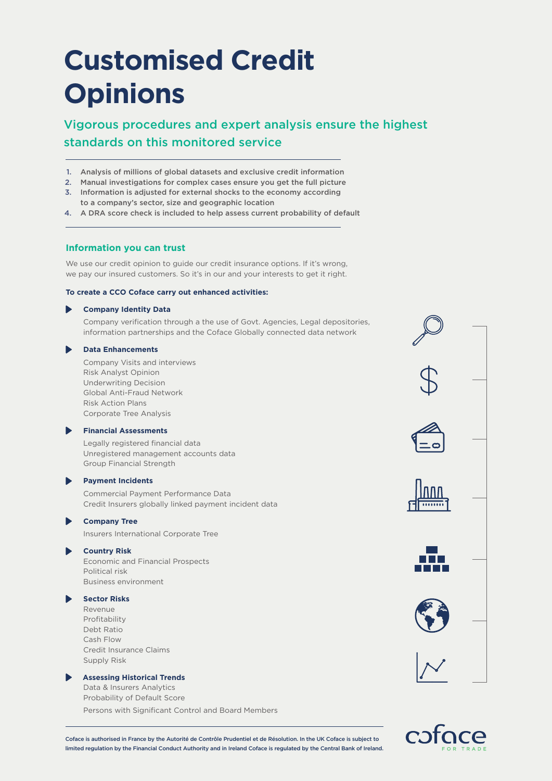# **Customised Credit Opinions**

# Vigorous procedures and expert analysis ensure the highest standards on this monitored service

- 1. Analysis of millions of global datasets and exclusive credit information
- 2. Manual investigations for complex cases ensure you get the full picture
- 3. Information is adjusted for external shocks to the economy according to a company's sector, size and geographic location
- 4. A DRA score check is included to help assess current probability of default

### **Information you can trust**

We use our credit opinion to guide our credit insurance options. If it's wrong, we pay our insured customers. So it's in our and your interests to get it right.

#### **To create a CCO Coface carry out enhanced activities:**

#### **Company Identity Data**

Company verification through a the use of Govt. Agencies, Legal depositories, information partnerships and the Coface Globally connected data network

#### **Data Enhancements**

Company Visits and interviews Risk Analyst Opinion Underwriting Decision Global Anti-Fraud Network Risk Action Plans Corporate Tree Analysis

#### **Financial Assessments**

Legally registered financial data Unregistered management accounts data Group Financial Strength

#### **Payment Incidents**

Commercial Payment Performance Data Credit Insurers globally linked payment incident data

## **Company Tree**

Insurers International Corporate Tree

### **Country Risk**

Economic and Financial Prospects Political risk Business environment

# **Sector Risks**

Revenue Profitability Debt Ratio Cash Flow Credit Insurance Claims Supply Risk

#### **Assessing Historical Trends**

Data & Insurers Analytics Probability of Default Score

Persons with Significant Control and Board Members





Coface is authorised in France by the Autorité de Contrôle Prudentiel et de Résolution. In the UK Coface is subject to limited regulation by the Financial Conduct Authority and in Ireland Coface is regulated by the Central Bank of Ireland.